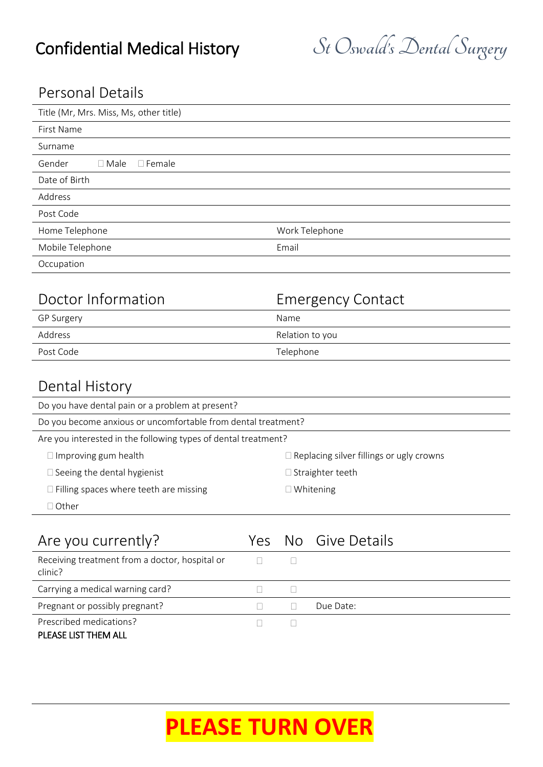## Personal Details

| Title (Mr, Mrs. Miss, Ms, other title)       |                          |
|----------------------------------------------|--------------------------|
| First Name                                   |                          |
| Surname                                      |                          |
| $\square$ Male<br>$\square$ Female<br>Gender |                          |
| Date of Birth                                |                          |
| Address                                      |                          |
| Post Code                                    |                          |
| Home Telephone                               | Work Telephone           |
| Mobile Telephone                             | Email                    |
| Occupation                                   |                          |
|                                              |                          |
| Doctor Information                           | <b>Emergency Contact</b> |

| DUCLUI IIIIUI IIIULIUII | LITTUR SUITU CUITUUL |  |
|-------------------------|----------------------|--|
| GP Surgery              | Name                 |  |
| Address                 | Relation to you      |  |
| Post Code               | Telephone            |  |

## Dental History

| Do you have dental pain or a problem at present?               |                                                 |  |  |
|----------------------------------------------------------------|-------------------------------------------------|--|--|
| Do you become anxious or uncomfortable from dental treatment?  |                                                 |  |  |
| Are you interested in the following types of dental treatment? |                                                 |  |  |
| $\Box$ Improving gum health                                    | $\Box$ Replacing silver fillings or ugly crowns |  |  |
| Seeing the dental hygienist                                    | $\Box$ Straighter teeth                         |  |  |
| $\Box$ Filling spaces where teeth are missing                  | $\Box$ Whitening                                |  |  |
| ⊺Other                                                         |                                                 |  |  |
|                                                                |                                                 |  |  |

| Are you currently?                                        |  | Yes No Give Details |
|-----------------------------------------------------------|--|---------------------|
| Receiving treatment from a doctor, hospital or<br>clinic? |  |                     |
| Carrying a medical warning card?                          |  |                     |
| Pregnant or possibly pregnant?                            |  | Due Date:           |
| Prescribed medications?                                   |  |                     |
| PLEASE LIST THEM ALL                                      |  |                     |

# **PLEASE TURN OVER**